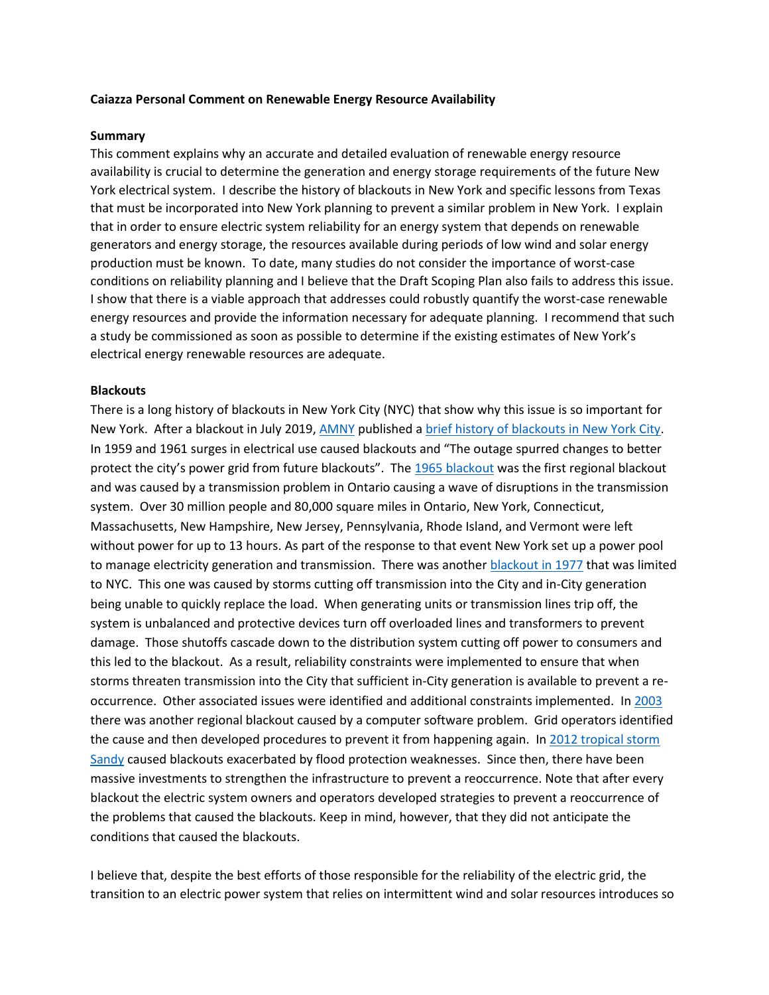### **Caiazza Personal Comment on Renewable Energy Resource Availability**

#### **Summary**

This comment explains why an accurate and detailed evaluation of renewable energy resource availability is crucial to determine the generation and energy storage requirements of the future New York electrical system. I describe the history of blackouts in New York and specific lessons from Texas that must be incorporated into New York planning to prevent a similar problem in New York. I explain that in order to ensure electric system reliability for an energy system that depends on renewable generators and energy storage, the resources available during periods of low wind and solar energy production must be known. To date, many studies do not consider the importance of worst-case conditions on reliability planning and I believe that the Draft Scoping Plan also fails to address this issue. I show that there is a viable approach that addresses could robustly quantify the worst-case renewable energy resources and provide the information necessary for adequate planning. I recommend that such a study be commissioned as soon as possible to determine if the existing estimates of New York's electrical energy renewable resources are adequate.

#### **Blackouts**

There is a long history of blackouts in New York City (NYC) that show why this issue is so important for New York. After a blackout in July 2019, [AMNY](https://www.amny.com/) published a [brief history of blackouts in New York City.](https://www.amny.com/news/blackouts-nyc-1-33881190/) In 1959 and 1961 surges in electrical use caused blackouts and "The outage spurred changes to better protect the city's power grid from future blackouts". The [1965 blackout](https://en.wikipedia.org/wiki/Northeast_blackout_of_1965) was the first regional blackout and was caused by a transmission problem in Ontario causing a wave of disruptions in the transmission system. Over 30 million people and 80,000 square miles in Ontario, New York, Connecticut, Massachusetts, New Hampshire, New Jersey, Pennsylvania, Rhode Island, and Vermont were left without power for up to 13 hours. As part of the response to that event New York set up a power pool to manage electricity generation and transmission. There was another [blackout in 1977](https://en.wikipedia.org/wiki/New_York_City_blackout_of_1977) that was limited to NYC. This one was caused by storms cutting off transmission into the City and in-City generation being unable to quickly replace the load. When generating units or transmission lines trip off, the system is unbalanced and protective devices turn off overloaded lines and transformers to prevent damage. Those shutoffs cascade down to the distribution system cutting off power to consumers and this led to the blackout. As a result, reliability constraints were implemented to ensure that when storms threaten transmission into the City that sufficient in-City generation is available to prevent a reoccurrence. Other associated issues were identified and additional constraints implemented. In [2003](https://en.wikipedia.org/wiki/Northeast_blackout_of_2003) there was another regional blackout caused by a computer software problem. Grid operators identified the cause and then developed procedures to prevent it from happening again. In 2012 tropical storm [Sandy](https://en.wikipedia.org/wiki/Effects_of_Hurricane_Sandy_in_New_York) caused blackouts exacerbated by flood protection weaknesses. Since then, there have been massive investments to strengthen the infrastructure to prevent a reoccurrence. Note that after every blackout the electric system owners and operators developed strategies to prevent a reoccurrence of the problems that caused the blackouts. Keep in mind, however, that they did not anticipate the conditions that caused the blackouts.

I believe that, despite the best efforts of those responsible for the reliability of the electric grid, the transition to an electric power system that relies on intermittent wind and solar resources introduces so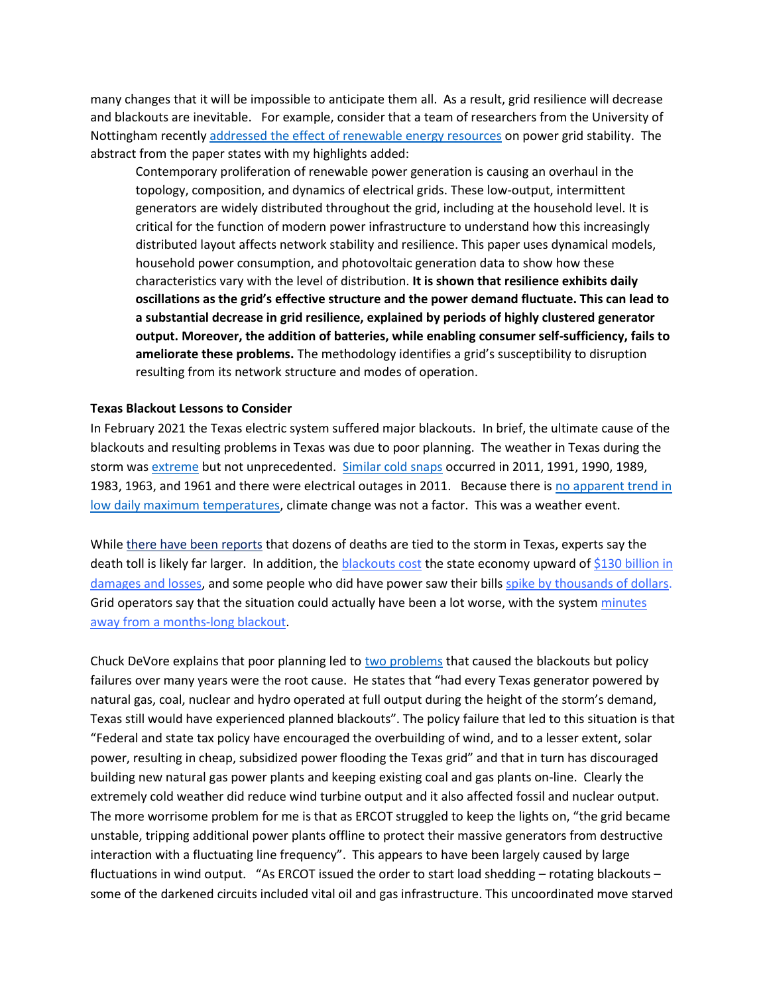many changes that it will be impossible to anticipate them all. As a result, grid resilience will decrease and blackouts are inevitable. For example, consider that a team of researchers from the University of Nottingham recently [addressed the effect of renewable energy resources](https://www.science.org/doi/10.1126/sciadv.abj6734) on power grid stability. The abstract from the paper states with my highlights added:

Contemporary proliferation of renewable power generation is causing an overhaul in the topology, composition, and dynamics of electrical grids. These low-output, intermittent generators are widely distributed throughout the grid, including at the household level. It is critical for the function of modern power infrastructure to understand how this increasingly distributed layout affects network stability and resilience. This paper uses dynamical models, household power consumption, and photovoltaic generation data to show how these characteristics vary with the level of distribution. **It is shown that resilience exhibits daily oscillations as the grid's effective structure and the power demand fluctuate. This can lead to a substantial decrease in grid resilience, explained by periods of highly clustered generator output. Moreover, the addition of batteries, while enabling consumer self-sufficiency, fails to ameliorate these problems.** The methodology identifies a grid's susceptibility to disruption resulting from its network structure and modes of operation.

### **Texas Blackout Lessons to Consider**

In February 2021 the Texas electric system suffered major blackouts.In brief, the ultimate cause of the blackouts and resulting problems in Texas was due to poor planning. The weather in Texas during the storm was [extreme](https://goldweather.wordpress.com/2021/02/21/the-week-the-south-froze-meteorological-context/) but not unprecedented. [Similar cold snaps](https://realclimatescience.com/2021/02/what-changed-in-texas/) occurred in 2011, 1991, 1990, 1989, 1983, 1963, and 1961 and there were electrical outages in 2011. Because there is [no apparent trend in](https://pragmaticenvironmentalistofnewyork.files.wordpress.com/2021/03/texas-daily-maximum-temperatures.jpg)  [low daily maximum temperatures,](https://pragmaticenvironmentalistofnewyork.files.wordpress.com/2021/03/texas-daily-maximum-temperatures.jpg) climate change was not a factor. This was a weather event.

While [there have been reports](https://www.washingtonpost.com/nation/2021/02/18/winter-storm-deaths/) that dozens of deaths are tied to the storm in Texas, experts say the death toll is likely far larger. In addition, the [blackouts cost](https://www.vox.com/22308149/texas-blackout-power-outage-winter-uri-grid-ercot) the state economy upward of  $$130$  billion in [damages and losses,](https://www.accuweather.com/en/winter-weather/damages-from-feb-snowstorms-could-be-as-high-as-155b/909620) and some people who did have power saw their bills [spike by thousands of dollars.](https://www.vox.com/2021/2/20/22292926/texas-high-electric-bills-winter-storm-griddy) Grid operators say that the situation could actually have been a lot worse, with the system [minutes](https://www.nbcdfw.com/investigations/ercot-texas-was-4-minutes-and-37-seconds-away-from-a-blackout-that-could-have-lasted-)  [away from a months-long blackout.](https://www.nbcdfw.com/investigations/ercot-texas-was-4-minutes-and-37-seconds-away-from-a-blackout-that-could-have-lasted-)

Chuck DeVore explains that poor planning led t[o two problems](https://wattsupwiththat.com/2021/03/02/chuck-devore-texas-blackouts-heres-the-truth-about-why-they-happened-and-what-we-have-to-do-next/) that caused the blackouts but policy failures over many years were the root cause. He states that "had every Texas generator powered by natural gas, coal, nuclear and hydro operated at full output during the height of the storm's demand, Texas still would have experienced planned blackouts". The policy failure that led to this situation is that "Federal and state tax policy have encouraged the overbuilding of wind, and to a lesser extent, solar power, resulting in cheap, subsidized power flooding the Texas grid" and that in turn has discouraged building new natural gas power plants and keeping existing coal and gas plants on-line. Clearly the extremely cold weather did reduce wind turbine output and it also affected fossil and nuclear output. The more worrisome problem for me is that as ERCOT struggled to keep the lights on, "the grid became unstable, tripping additional power plants offline to protect their massive generators from destructive interaction with a fluctuating line frequency". This appears to have been largely caused by large fluctuations in wind output. "As ERCOT issued the order to start load shedding – rotating blackouts – some of the darkened circuits included vital oil and gas infrastructure. This uncoordinated move starved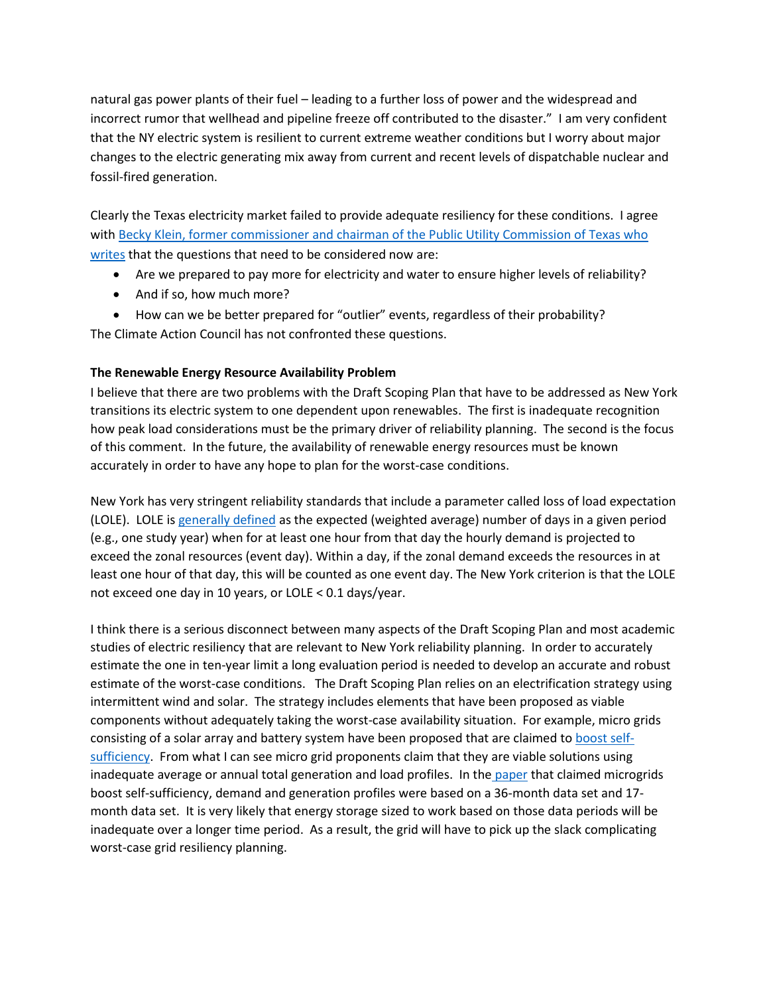natural gas power plants of their fuel – leading to a further loss of power and the widespread and incorrect rumor that wellhead and pipeline freeze off contributed to the disaster." I am very confident that the NY electric system is resilient to current extreme weather conditions but I worry about major changes to the electric generating mix away from current and recent levels of dispatchable nuclear and fossil-fired generation.

Clearly the Texas electricity market failed to provide adequate resiliency for these conditions. I agree with Becky Klein, former commissioner and chairman of the Public Utility Commission of Texas who [writes](https://c3newsmag.com/what-really-happened-in-texas/) that the questions that need to be considered now are:

- Are we prepared to pay more for electricity and water to ensure higher levels of reliability?
- And if so, how much more?
- How can we be better prepared for "outlier" events, regardless of their probability? The Climate Action Council has not confronted these questions.

# **The Renewable Energy Resource Availability Problem**

I believe that there are two problems with the Draft Scoping Plan that have to be addressed as New York transitions its electric system to one dependent upon renewables. The first is inadequate recognition how peak load considerations must be the primary driver of reliability planning. The second is the focus of this comment. In the future, the availability of renewable energy resources must be known accurately in order to have any hope to plan for the worst-case conditions.

New York has very stringent reliability standards that include a parameter called loss of load expectation (LOLE). LOLE is [generally defined](https://www.nyiso.com/documents/20142/2248481/2021-2030-Comprehensive-Reliability-Plan.pdf/99a4a589-7a80-13f6-1864-d5a4b698b916) as the expected (weighted average) number of days in a given period (e.g., one study year) when for at least one hour from that day the hourly demand is projected to exceed the zonal resources (event day). Within a day, if the zonal demand exceeds the resources in at least one hour of that day, this will be counted as one event day. The New York criterion is that the LOLE not exceed one day in 10 years, or LOLE < 0.1 days/year.

I think there is a serious disconnect between many aspects of the Draft Scoping Plan and most academic studies of electric resiliency that are relevant to New York reliability planning. In order to accurately estimate the one in ten-year limit a long evaluation period is needed to develop an accurate and robust estimate of the worst-case conditions. The Draft Scoping Plan relies on an electrification strategy using intermittent wind and solar. The strategy includes elements that have been proposed as viable components without adequately taking the worst-case availability situation. For example, micro grids consisting of a solar array and battery system have been proposed that are claimed to [boost self](http://humnetlab.berkeley.edu/wp-content/uploads/2020/02/Halu_galley_arda9pages.pdf)[sufficiency.](http://humnetlab.berkeley.edu/wp-content/uploads/2020/02/Halu_galley_arda9pages.pdf) From what I can see micro grid proponents claim that they are viable solutions using inadequate average or annual total generation and load profiles. In the [paper](http://humnetlab.berkeley.edu/wp-content/uploads/2020/02/Halu_galley_arda9pages.pdf) that claimed microgrids boost self-sufficiency, demand and generation profiles were based on a 36-month data set and 17 month data set. It is very likely that energy storage sized to work based on those data periods will be inadequate over a longer time period. As a result, the grid will have to pick up the slack complicating worst-case grid resiliency planning.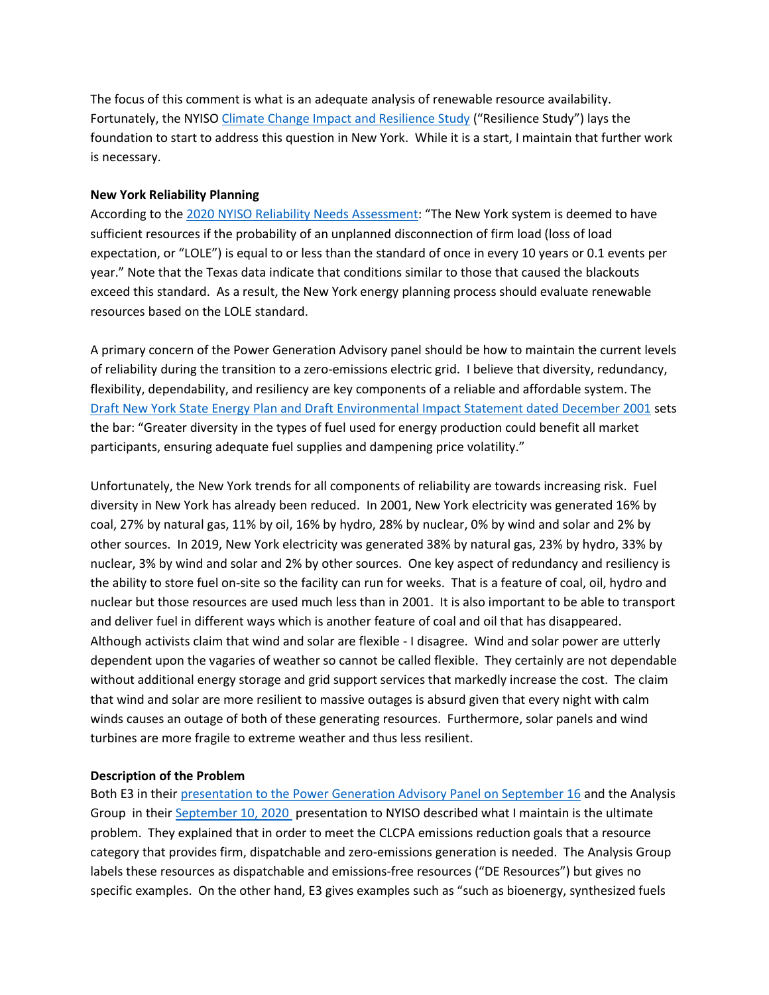The focus of this comment is what is an adequate analysis of renewable resource availability. Fortunately, the NYIS[O Climate Change Impact and Resilience Study](https://www.nyiso.com/documents/20142/15125528/02%20Climate%20Change%20Impact%20and%20Resilience%20Study%20Phase%202.pdf/89647ae3-6005-70f5-03c0-d4ed33623ce4) ("Resilience Study") lays the foundation to start to address this question in New York. While it is a start, I maintain that further work is necessary.

### **New York Reliability Planning**

According to th[e 2020 NYISO Reliability Needs Assessment](https://www.nyiso.com/documents/20142/2248793/2020-RNAReport-Nov2020.pdf/64053a7b-194e-17b0-20fb-f2489dec330d): "The New York system is deemed to have sufficient resources if the probability of an unplanned disconnection of firm load (loss of load expectation, or "LOLE") is equal to or less than the standard of once in every 10 years or 0.1 events per year." Note that the Texas data indicate that conditions similar to those that caused the blackouts exceed this standard. As a result, the New York energy planning process should evaluate renewable resources based on the LOLE standard.

A primary concern of the Power Generation Advisory panel should be how to maintain the current levels of reliability during the transition to a zero-emissions electric grid. I believe that diversity, redundancy, flexibility, dependability, and resiliency are key components of a reliable and affordable system. The [Draft New York State Energy Plan and Draft Environmental Impact Statement dated December 2001](https://pragmaticenvironmentalistofnewyork.files.wordpress.com/2021/02/2002-nys-energy-plan.pdf) sets the bar: "Greater diversity in the types of fuel used for energy production could benefit all market participants, ensuring adequate fuel supplies and dampening price volatility."

Unfortunately, the New York trends for all components of reliability are towards increasing risk. Fuel diversity in New York has already been reduced. In 2001, New York electricity was generated 16% by coal, 27% by natural gas, 11% by oil, 16% by hydro, 28% by nuclear, 0% by wind and solar and 2% by other sources. In 2019, New York electricity was generated 38% by natural gas, 23% by hydro, 33% by nuclear, 3% by wind and solar and 2% by other sources. One key aspect of redundancy and resiliency is the ability to store fuel on-site so the facility can run for weeks. That is a feature of coal, oil, hydro and nuclear but those resources are used much less than in 2001. It is also important to be able to transport and deliver fuel in different ways which is another feature of coal and oil that has disappeared. Although activists claim that wind and solar are flexible - I disagree. Wind and solar power are utterly dependent upon the vagaries of weather so cannot be called flexible. They certainly are not dependable without additional energy storage and grid support services that markedly increase the cost. The claim that wind and solar are more resilient to massive outages is absurd given that every night with calm winds causes an outage of both of these generating resources. Furthermore, solar panels and wind turbines are more fragile to extreme weather and thus less resilient.

### **Description of the Problem**

Both E3 in thei[r presentation to the Power Generation Advisory Panel on September 16](https://climate.ny.gov/-/media/CLCPA/Files/2020-09-16-Power-Generation-Advisory-Panel-Presentation.pdf) and the Analysis Group in thei[r September 10, 2020](https://www.nyiso.com/documents/20142/15125528/02%20Analysis%20Group%20Climate%20Change%20Phase%20II.pdf/251bbf99-0552-17c9-e148-7fdee5c7530b) presentation to NYISO described what I maintain is the ultimate problem. They explained that in order to meet the CLCPA emissions reduction goals that a resource category that provides firm, dispatchable and zero-emissions generation is needed. The Analysis Group labels these resources as dispatchable and emissions‐free resources ("DE Resources") but gives no specific examples. On the other hand, E3 gives examples such as "such as bioenergy, synthesized fuels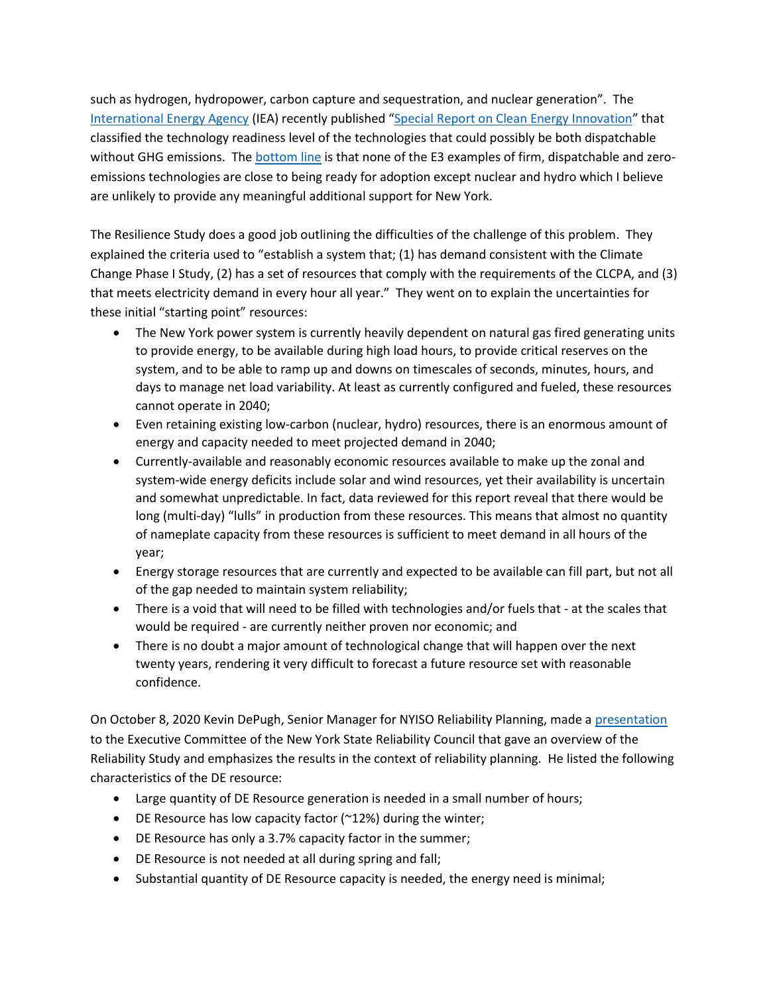such as hydrogen, hydropower, carbon capture and sequestration, and nuclear generation". The [International Energy Agency](https://www.iea.org/about) (IEA) recently published "[Special Report on Clean Energy Innovation](https://webstore.iea.org/energy-technology-perspectives-2020-special-report-on-clean-energy-innovation)" that classified the technology readiness level of the technologies that could possibly be both dispatchable without GHG emissions. The **bottom line** is that none of the E3 examples of firm, dispatchable and zeroemissions technologies are close to being ready for adoption except nuclear and hydro which I believe are unlikely to provide any meaningful additional support for New York.

The Resilience Study does a good job outlining the difficulties of the challenge of this problem. They explained the criteria used to "establish a system that; (1) has demand consistent with the Climate Change Phase I Study, (2) has a set of resources that comply with the requirements of the CLCPA, and (3) that meets electricity demand in every hour all year." They went on to explain the uncertainties for these initial "starting point" resources:

- The New York power system is currently heavily dependent on natural gas fired generating units to provide energy, to be available during high load hours, to provide critical reserves on the system, and to be able to ramp up and downs on timescales of seconds, minutes, hours, and days to manage net load variability. At least as currently configured and fueled, these resources cannot operate in 2040;
- Even retaining existing low-carbon (nuclear, hydro) resources, there is an enormous amount of energy and capacity needed to meet projected demand in 2040;
- Currently‐available and reasonably economic resources available to make up the zonal and system‐wide energy deficits include solar and wind resources, yet their availability is uncertain and somewhat unpredictable. In fact, data reviewed for this report reveal that there would be long (multi-day) "lulls" in production from these resources. This means that almost no quantity of nameplate capacity from these resources is sufficient to meet demand in all hours of the year;
- Energy storage resources that are currently and expected to be available can fill part, but not all of the gap needed to maintain system reliability;
- There is a void that will need to be filled with technologies and/or fuels that at the scales that would be required ‐ are currently neither proven nor economic; and
- There is no doubt a major amount of technological change that will happen over the next twenty years, rendering it very difficult to forecast a future resource set with reasonable confidence.

On October 8, 2020 Kevin DePugh, Senior Manager for NYISO Reliability Planning, made [a presentation](http://www.nysrc.org/PDF/MeetingMaterial/ECMeetingMaterial/EC%20Agenda%20258/7.1.1%20Climate_Change_Phase_II_NYSRC_10-8-2020-Attachment%207.1.1.pdf) to the Executive Committee of the New York State Reliability Council that gave an overview of the Reliability Study and emphasizes the results in the context of reliability planning. He listed the following characteristics of the DE resource:

- Large quantity of DE Resource generation is needed in a small number of hours;
- DE Resource has low capacity factor (~12%) during the winter;
- DE Resource has only a 3.7% capacity factor in the summer;
- DE Resource is not needed at all during spring and fall;
- Substantial quantity of DE Resource capacity is needed, the energy need is minimal;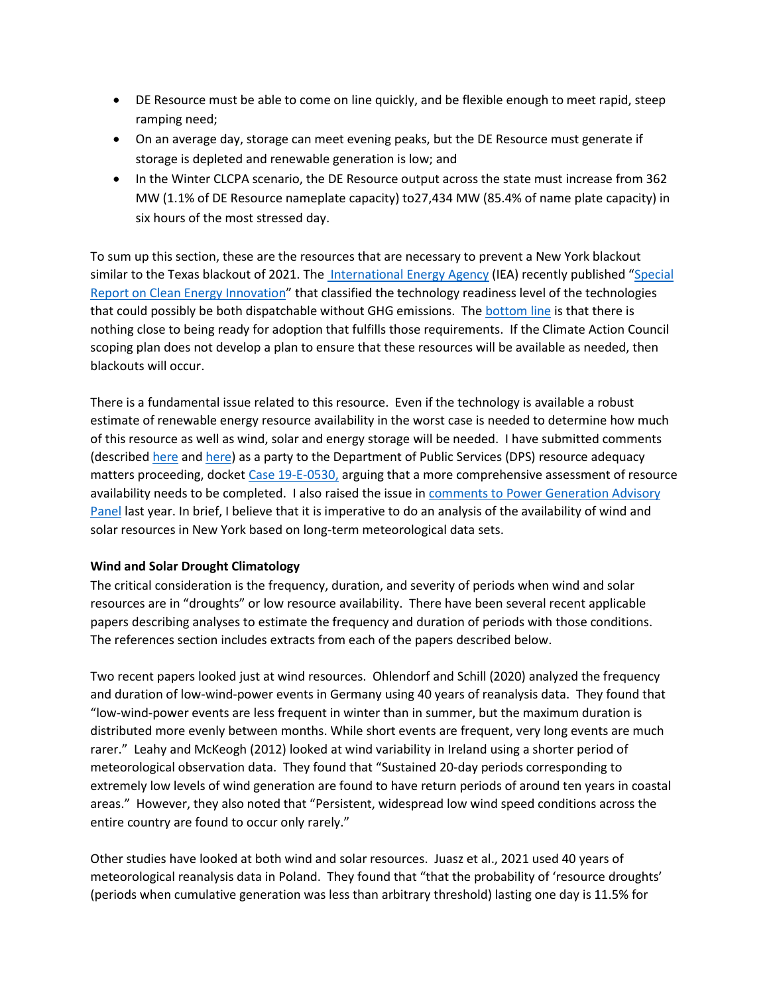- DE Resource must be able to come on line quickly, and be flexible enough to meet rapid, steep ramping need;
- On an average day, storage can meet evening peaks, but the DE Resource must generate if storage is depleted and renewable generation is low; and
- In the Winter CLCPA scenario, the DE Resource output across the state must increase from 362 MW (1.1% of DE Resource nameplate capacity) to27,434 MW (85.4% of name plate capacity) in six hours of the most stressed day.

To sum up this section, these are the resources that are necessary to prevent a New York blackout similar to the Texas blackout of 2021. Th[e International Energy Agency](https://www.iea.org/about) (IEA) recently published "[Special](https://webstore.iea.org/energy-technology-perspectives-2020-special-report-on-clean-energy-innovation)  [Report on Clean Energy Innovation](https://webstore.iea.org/energy-technology-perspectives-2020-special-report-on-clean-energy-innovation)" that classified the technology readiness level of the technologies that could possibly be both dispatchable without GHG emissions. Th[e bottom line](https://wp.me/p8hgeb-qr) is that there is nothing close to being ready for adoption that fulfills those requirements. If the Climate Action Council scoping plan does not develop a plan to ensure that these resources will be available as needed, then blackouts will occur.

There is a fundamental issue related to this resource. Even if the technology is available a robust estimate of renewable energy resource availability in the worst case is needed to determine how much of this resource as well as wind, solar and energy storage will be needed. I have submitted comments (describe[d here](https://wp.me/p8hgeb-dp) and [here\)](https://wp.me/p8hgeb-ph) as a party to the Department of Public Services (DPS) resource adequacy matters proceeding, docket [Case 19-E-0530,](http://documents.dps.ny.gov/public/MatterManagement/CaseMaster.aspx?MatterCaseNo=19-E-0530&submit=Search) arguing that a more comprehensive assessment of resource availability needs to be completed. I also raised the issue in comments to Power [Generation Advisory](https://pragmaticenvironmentalistofnewyork.files.wordpress.com/2022/03/caiazza-comments-to-power-generation-advisory-panel-on-the-enabling-initiatives-and-reliability-25-march-2021.pdf)  [Panel](https://pragmaticenvironmentalistofnewyork.files.wordpress.com/2022/03/caiazza-comments-to-power-generation-advisory-panel-on-the-enabling-initiatives-and-reliability-25-march-2021.pdf) last year. In brief, I believe that it is imperative to do an analysis of the availability of wind and solar resources in New York based on long-term meteorological data sets.

## **Wind and Solar Drought Climatology**

The critical consideration is the frequency, duration, and severity of periods when wind and solar resources are in "droughts" or low resource availability. There have been several recent applicable papers describing analyses to estimate the frequency and duration of periods with those conditions. The references section includes extracts from each of the papers described below.

Two recent papers looked just at wind resources. Ohlendorf and Schill (2020) analyzed the frequency and duration of low-wind-power events in Germany using 40 years of reanalysis data. They found that "low-wind-power events are less frequent in winter than in summer, but the maximum duration is distributed more evenly between months. While short events are frequent, very long events are much rarer." Leahy and McKeogh (2012) looked at wind variability in Ireland using a shorter period of meteorological observation data. They found that "Sustained 20-day periods corresponding to extremely low levels of wind generation are found to have return periods of around ten years in coastal areas." However, they also noted that "Persistent, widespread low wind speed conditions across the entire country are found to occur only rarely."

Other studies have looked at both wind and solar resources. Juasz et al., 2021 used 40 years of meteorological reanalysis data in Poland. They found that "that the probability of 'resource droughts' (periods when cumulative generation was less than arbitrary threshold) lasting one day is 11.5% for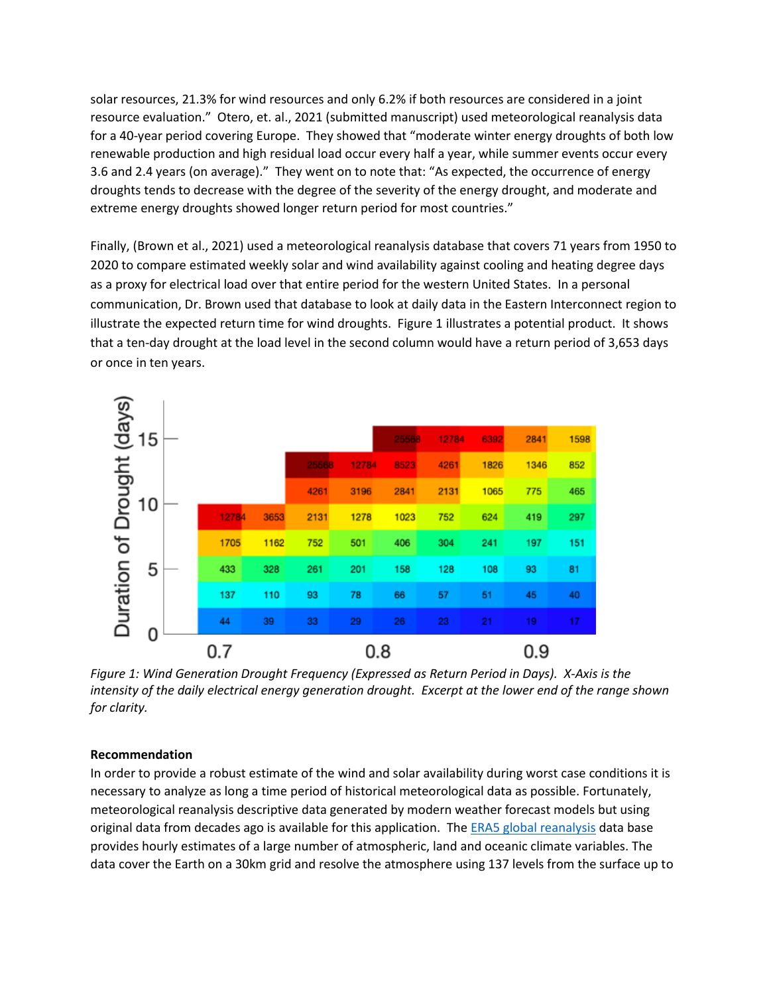solar resources, 21.3% for wind resources and only 6.2% if both resources are considered in a joint resource evaluation." Otero, et. al., 2021 (submitted manuscript) used meteorological reanalysis data for a 40-year period covering Europe. They showed that "moderate winter energy droughts of both low renewable production and high residual load occur every half a year, while summer events occur every 3.6 and 2.4 years (on average)." They went on to note that: "As expected, the occurrence of energy droughts tends to decrease with the degree of the severity of the energy drought, and moderate and extreme energy droughts showed longer return period for most countries."

Finally, (Brown et al., 2021) used a meteorological reanalysis database that covers 71 years from 1950 to 2020 to compare estimated weekly solar and wind availability against cooling and heating degree days as a proxy for electrical load over that entire period for the western United States. In a personal communication, Dr. Brown used that database to look at daily data in the Eastern Interconnect region to illustrate the expected return time for wind droughts. Figure 1 illustrates a potential product. It shows that a ten-day drought at the load level in the second column would have a return period of 3,653 days or once in ten years.



*Figure 1: Wind Generation Drought Frequency (Expressed as Return Period in Days). X-Axis is the intensity of the daily electrical energy generation drought. Excerpt at the lower end of the range shown for clarity.*

## **Recommendation**

In order to provide a robust estimate of the wind and solar availability during worst case conditions it is necessary to analyze as long a time period of historical meteorological data as possible. Fortunately, meteorological reanalysis descriptive data generated by modern weather forecast models but using original data from decades ago is available for this application. Th[e ERA5 global reanalysis](https://rmets.onlinelibrary.wiley.com/doi/full/10.1002/qj.3803) data base provides hourly estimates of a large number of atmospheric, land and oceanic climate variables. The data cover the Earth on a 30km grid and resolve the atmosphere using 137 levels from the surface up to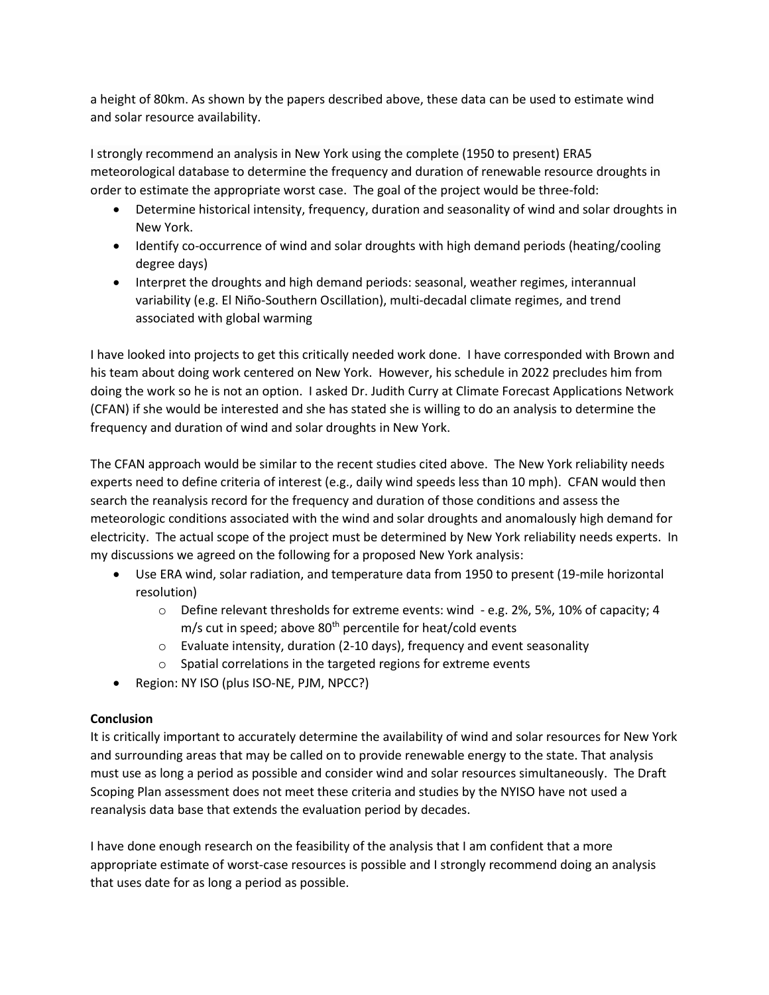a height of 80km. As shown by the papers described above, these data can be used to estimate wind and solar resource availability.

I strongly recommend an analysis in New York using the complete (1950 to present) ERA5 meteorological database to determine the frequency and duration of renewable resource droughts in order to estimate the appropriate worst case. The goal of the project would be three-fold:

- Determine historical intensity, frequency, duration and seasonality of wind and solar droughts in New York.
- Identify co-occurrence of wind and solar droughts with high demand periods (heating/cooling degree days)
- Interpret the droughts and high demand periods: seasonal, weather regimes, interannual variability (e.g. El Niño-Southern Oscillation), multi-decadal climate regimes, and trend associated with global warming

I have looked into projects to get this critically needed work done. I have corresponded with Brown and his team about doing work centered on New York. However, his schedule in 2022 precludes him from doing the work so he is not an option. I asked Dr. Judith Curry at Climate Forecast Applications Network (CFAN) if she would be interested and she has stated she is willing to do an analysis to determine the frequency and duration of wind and solar droughts in New York.

The CFAN approach would be similar to the recent studies cited above. The New York reliability needs experts need to define criteria of interest (e.g., daily wind speeds less than 10 mph). CFAN would then search the reanalysis record for the frequency and duration of those conditions and assess the meteorologic conditions associated with the wind and solar droughts and anomalously high demand for electricity. The actual scope of the project must be determined by New York reliability needs experts. In my discussions we agreed on the following for a proposed New York analysis:

- Use ERA wind, solar radiation, and temperature data from 1950 to present (19-mile horizontal resolution)
	- $\circ$  Define relevant thresholds for extreme events: wind e.g. 2%, 5%, 10% of capacity; 4 m/s cut in speed; above 80<sup>th</sup> percentile for heat/cold events
	- $\circ$  Evaluate intensity, duration (2-10 days), frequency and event seasonality
	- o Spatial correlations in the targeted regions for extreme events
- Region: NY ISO (plus ISO-NE, PJM, NPCC?)

# **Conclusion**

It is critically important to accurately determine the availability of wind and solar resources for New York and surrounding areas that may be called on to provide renewable energy to the state. That analysis must use as long a period as possible and consider wind and solar resources simultaneously. The Draft Scoping Plan assessment does not meet these criteria and studies by the NYISO have not used a reanalysis data base that extends the evaluation period by decades.

I have done enough research on the feasibility of the analysis that I am confident that a more appropriate estimate of worst-case resources is possible and I strongly recommend doing an analysis that uses date for as long a period as possible.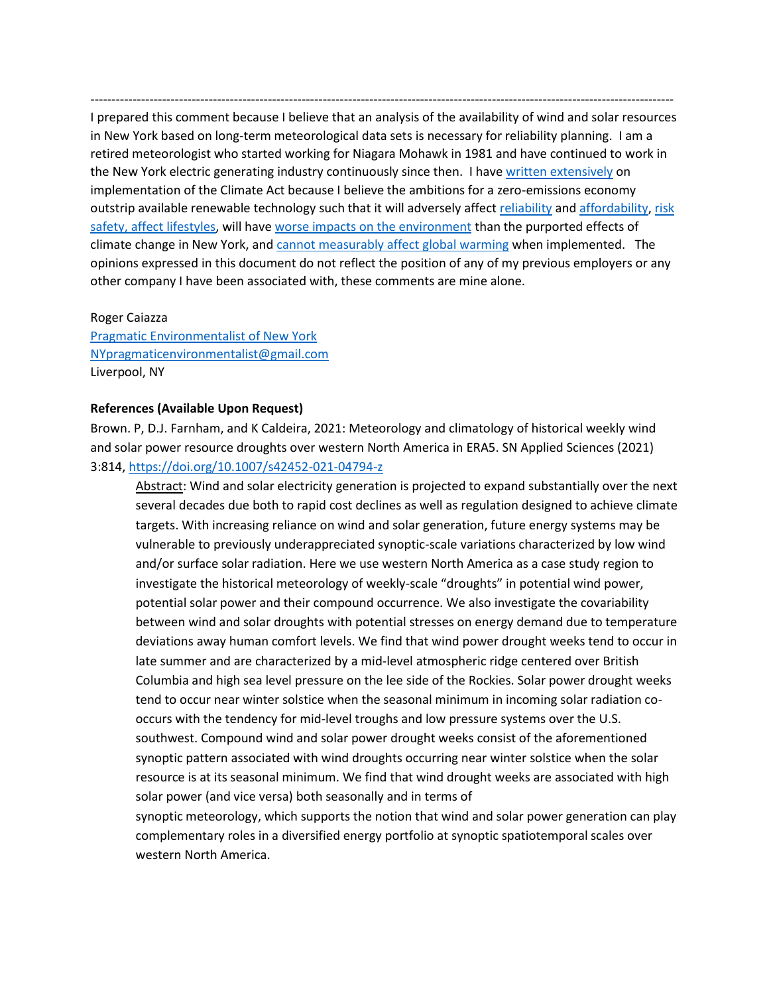I prepared this comment because I believe that an analysis of the availability of wind and solar resources in New York based on long-term meteorological data sets is necessary for reliability planning. I am a retired meteorologist who started working for Niagara Mohawk in 1981 and have continued to work in the New York electric generating industry continuously since then. I hav[e written extensively](https://wp.me/P8hgeb-ev) on implementation of the Climate Act because I believe the ambitions for a zero-emissions economy outstrip available renewable technology such that it will adversely affect [reliability](https://reformingtheenergyvisioninconvenienttruths.com/citizens-guide-to-the-new-york-climate-act/citizens-guide-to-the-climate-act-reliability-page/) an[d affordability,](https://reformingtheenergyvisioninconvenienttruths.com/citizens-guide-costs-and-benefits/) [risk](https://reformingtheenergyvisioninconvenienttruths.com/citizens-guide-implementation-strategy-risks-and-effects/)  safety, [affect lifestyles,](https://reformingtheenergyvisioninconvenienttruths.com/citizens-guide-implementation-strategy-risks-and-effects/) will have [worse impacts on the environment](https://reformingtheenergyvisioninconvenienttruths.com/citizens-guide-to-the-new-york-climate-act/citizens-guide-integration-analysis-strategies-environmental-impacts/) than the purported effects of climate change in New York, and [cannot measurably affect global warming](https://reformingtheenergyvisioninconvenienttruths.com/citizens-guide-effects-on-global-warming-page/) when implemented. The opinions expressed in this document do not reflect the position of any of my previous employers or any other company I have been associated with, these comments are mine alone.

------------------------------------------------------------------------------------------------------------------------------------------

Roger Caiazza [Pragmatic Environmentalist of New York](https://wp.me/P8hgeb-2) [NYpragmaticenvironmentalist@gmail.com](mailto:NYpragmaticenvironmentalist@gmail.com) Liverpool, NY

### **References (Available Upon Request)**

Brown. P, D.J. Farnham, and K Caldeira, 2021: Meteorology and climatology of historical weekly wind and solar power resource droughts over western North America in ERA5. SN Applied Sciences (2021) 3:814[, https://doi.org/10.1007/s42452-021-04794-z](https://doi.org/10.1007/s42452-021-04794-z)

Abstract: Wind and solar electricity generation is projected to expand substantially over the next several decades due both to rapid cost declines as well as regulation designed to achieve climate targets. With increasing reliance on wind and solar generation, future energy systems may be vulnerable to previously underappreciated synoptic-scale variations characterized by low wind and/or surface solar radiation. Here we use western North America as a case study region to investigate the historical meteorology of weekly-scale "droughts" in potential wind power, potential solar power and their compound occurrence. We also investigate the covariability between wind and solar droughts with potential stresses on energy demand due to temperature deviations away human comfort levels. We find that wind power drought weeks tend to occur in late summer and are characterized by a mid-level atmospheric ridge centered over British Columbia and high sea level pressure on the lee side of the Rockies. Solar power drought weeks tend to occur near winter solstice when the seasonal minimum in incoming solar radiation cooccurs with the tendency for mid-level troughs and low pressure systems over the U.S. southwest. Compound wind and solar power drought weeks consist of the aforementioned synoptic pattern associated with wind droughts occurring near winter solstice when the solar resource is at its seasonal minimum. We find that wind drought weeks are associated with high solar power (and vice versa) both seasonally and in terms of synoptic meteorology, which supports the notion that wind and solar power generation can play

complementary roles in a diversified energy portfolio at synoptic spatiotemporal scales over western North America.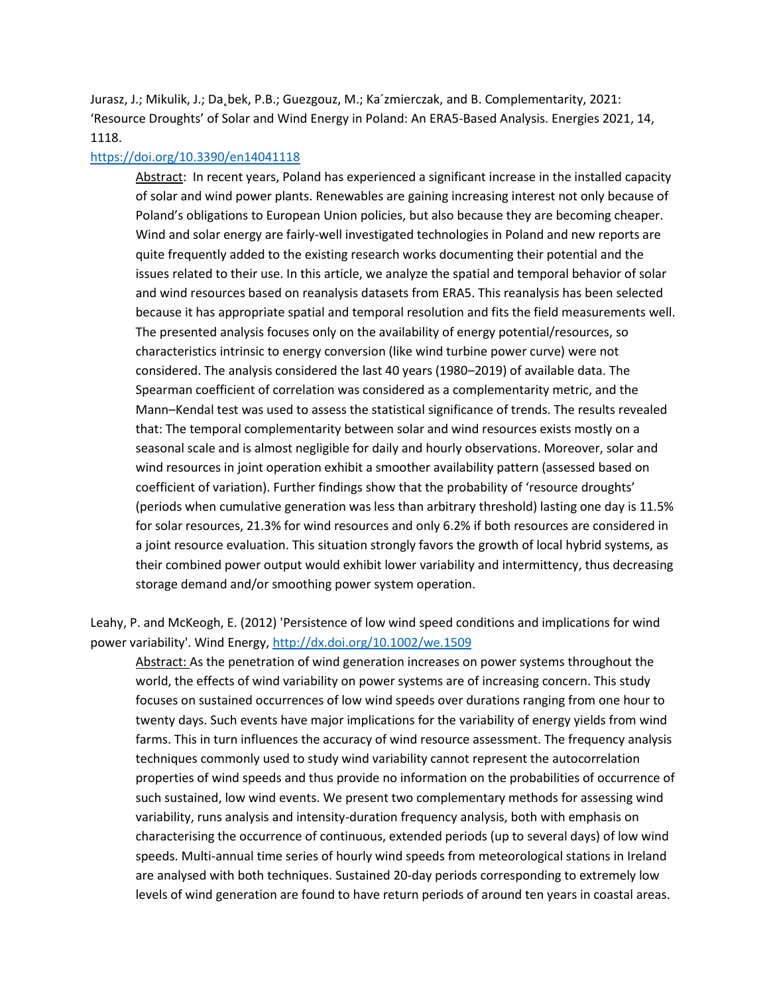Jurasz, J.; Mikulik, J.; Da˛bek, P.B.; Guezgouz, M.; Ka´zmierczak, and B. Complementarity, 2021: 'Resource Droughts' of Solar and Wind Energy in Poland: An ERA5-Based Analysis. Energies 2021, 14, 1118.

### <https://doi.org/10.3390/en14041118>

Abstract: In recent years, Poland has experienced a significant increase in the installed capacity of solar and wind power plants. Renewables are gaining increasing interest not only because of Poland's obligations to European Union policies, but also because they are becoming cheaper. Wind and solar energy are fairly-well investigated technologies in Poland and new reports are quite frequently added to the existing research works documenting their potential and the issues related to their use. In this article, we analyze the spatial and temporal behavior of solar and wind resources based on reanalysis datasets from ERA5. This reanalysis has been selected because it has appropriate spatial and temporal resolution and fits the field measurements well. The presented analysis focuses only on the availability of energy potential/resources, so characteristics intrinsic to energy conversion (like wind turbine power curve) were not considered. The analysis considered the last 40 years (1980–2019) of available data. The Spearman coefficient of correlation was considered as a complementarity metric, and the Mann–Kendal test was used to assess the statistical significance of trends. The results revealed that: The temporal complementarity between solar and wind resources exists mostly on a seasonal scale and is almost negligible for daily and hourly observations. Moreover, solar and wind resources in joint operation exhibit a smoother availability pattern (assessed based on coefficient of variation). Further findings show that the probability of 'resource droughts' (periods when cumulative generation was less than arbitrary threshold) lasting one day is 11.5% for solar resources, 21.3% for wind resources and only 6.2% if both resources are considered in a joint resource evaluation. This situation strongly favors the growth of local hybrid systems, as their combined power output would exhibit lower variability and intermittency, thus decreasing storage demand and/or smoothing power system operation.

Leahy, P. and McKeogh, E. (2012) 'Persistence of low wind speed conditions and implications for wind power variability'. Wind Energy,<http://dx.doi.org/10.1002/we.1509>

Abstract: As the penetration of wind generation increases on power systems throughout the world, the effects of wind variability on power systems are of increasing concern. This study focuses on sustained occurrences of low wind speeds over durations ranging from one hour to twenty days. Such events have major implications for the variability of energy yields from wind farms. This in turn influences the accuracy of wind resource assessment. The frequency analysis techniques commonly used to study wind variability cannot represent the autocorrelation properties of wind speeds and thus provide no information on the probabilities of occurrence of such sustained, low wind events. We present two complementary methods for assessing wind variability, runs analysis and intensity-duration frequency analysis, both with emphasis on characterising the occurrence of continuous, extended periods (up to several days) of low wind speeds. Multi-annual time series of hourly wind speeds from meteorological stations in Ireland are analysed with both techniques. Sustained 20-day periods corresponding to extremely low levels of wind generation are found to have return periods of around ten years in coastal areas.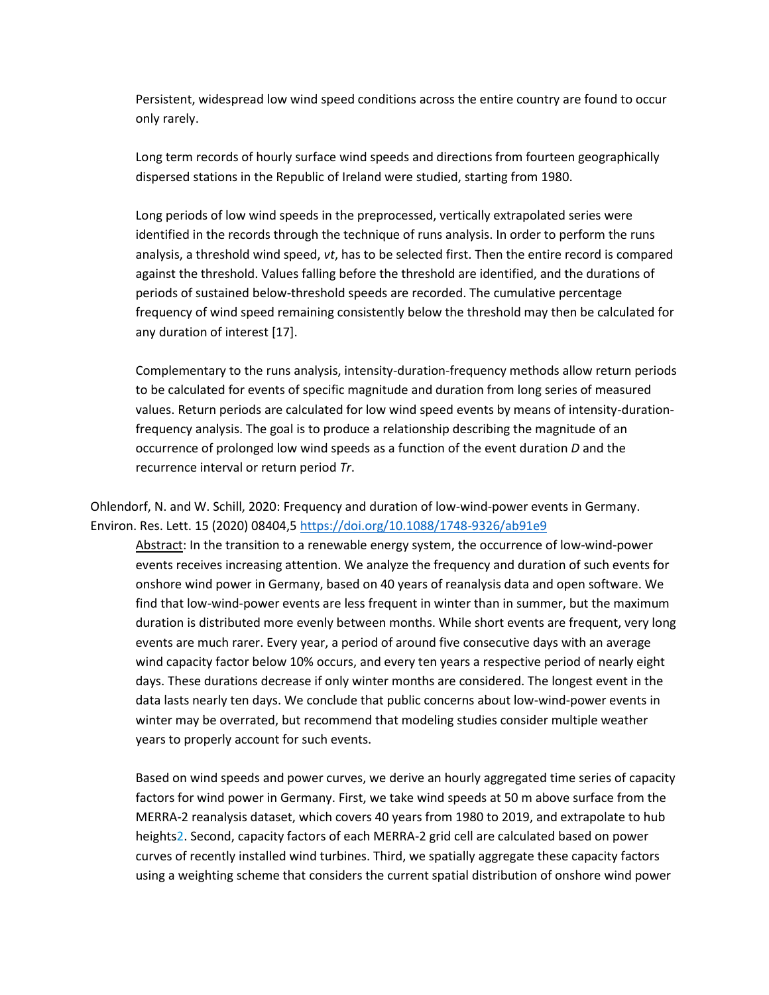Persistent, widespread low wind speed conditions across the entire country are found to occur only rarely.

Long term records of hourly surface wind speeds and directions from fourteen geographically dispersed stations in the Republic of Ireland were studied, starting from 1980.

Long periods of low wind speeds in the preprocessed, vertically extrapolated series were identified in the records through the technique of runs analysis. In order to perform the runs analysis, a threshold wind speed, *vt*, has to be selected first. Then the entire record is compared against the threshold. Values falling before the threshold are identified, and the durations of periods of sustained below-threshold speeds are recorded. The cumulative percentage frequency of wind speed remaining consistently below the threshold may then be calculated for any duration of interest [17].

Complementary to the runs analysis, intensity-duration-frequency methods allow return periods to be calculated for events of specific magnitude and duration from long series of measured values. Return periods are calculated for low wind speed events by means of intensity-durationfrequency analysis. The goal is to produce a relationship describing the magnitude of an occurrence of prolonged low wind speeds as a function of the event duration *D* and the recurrence interval or return period *Tr*.

Ohlendorf, N. and W. Schill, 2020: Frequency and duration of low-wind-power events in Germany. Environ. Res. Lett. 15 (2020) 08404,5<https://doi.org/10.1088/1748-9326/ab91e9>

Abstract: In the transition to a renewable energy system, the occurrence of low-wind-power events receives increasing attention. We analyze the frequency and duration of such events for onshore wind power in Germany, based on 40 years of reanalysis data and open software. We find that low-wind-power events are less frequent in winter than in summer, but the maximum duration is distributed more evenly between months. While short events are frequent, very long events are much rarer. Every year, a period of around five consecutive days with an average wind capacity factor below 10% occurs, and every ten years a respective period of nearly eight days. These durations decrease if only winter months are considered. The longest event in the data lasts nearly ten days. We conclude that public concerns about low-wind-power events in winter may be overrated, but recommend that modeling studies consider multiple weather years to properly account for such events.

Based on wind speeds and power curves, we derive an hourly aggregated time series of capacity factors for wind power in Germany. First, we take wind speeds at 50 m above surface from the MERRA-2 reanalysis dataset, which covers 40 years from 1980 to 2019, and extrapolate to hub heights2. Second, capacity factors of each MERRA-2 grid cell are calculated based on power curves of recently installed wind turbines. Third, we spatially aggregate these capacity factors using a weighting scheme that considers the current spatial distribution of onshore wind power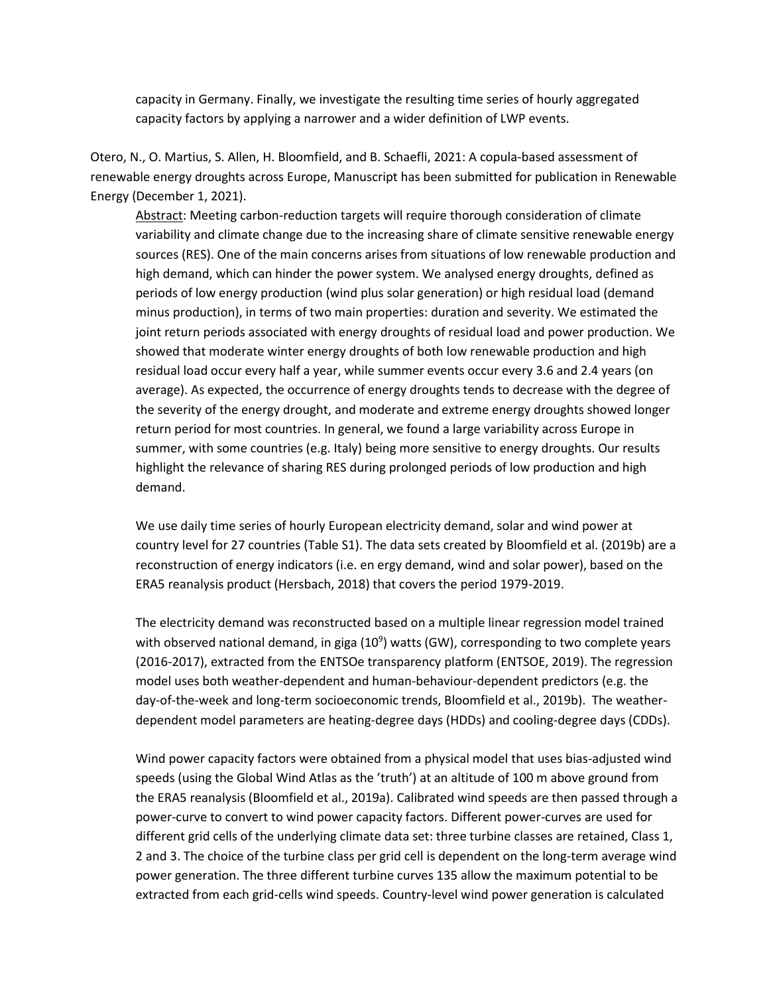capacity in Germany. Finally, we investigate the resulting time series of hourly aggregated capacity factors by applying a narrower and a wider definition of LWP events.

Otero, N., O. Martius, S. Allen, H. Bloomfield, and B. Schaefli, 2021: A copula-based assessment of renewable energy droughts across Europe, Manuscript has been submitted for publication in Renewable Energy (December 1, 2021).

Abstract: Meeting carbon-reduction targets will require thorough consideration of climate variability and climate change due to the increasing share of climate sensitive renewable energy sources (RES). One of the main concerns arises from situations of low renewable production and high demand, which can hinder the power system. We analysed energy droughts, defined as periods of low energy production (wind plus solar generation) or high residual load (demand minus production), in terms of two main properties: duration and severity. We estimated the joint return periods associated with energy droughts of residual load and power production. We showed that moderate winter energy droughts of both low renewable production and high residual load occur every half a year, while summer events occur every 3.6 and 2.4 years (on average). As expected, the occurrence of energy droughts tends to decrease with the degree of the severity of the energy drought, and moderate and extreme energy droughts showed longer return period for most countries. In general, we found a large variability across Europe in summer, with some countries (e.g. Italy) being more sensitive to energy droughts. Our results highlight the relevance of sharing RES during prolonged periods of low production and high demand.

We use daily time series of hourly European electricity demand, solar and wind power at country level for 27 countries (Table S1). The data sets created by Bloomfield et al. (2019b) are a reconstruction of energy indicators (i.e. en ergy demand, wind and solar power), based on the ERA5 reanalysis product (Hersbach, 2018) that covers the period 1979-2019.

The electricity demand was reconstructed based on a multiple linear regression model trained with observed national demand, in giga (10<sup>9</sup>) watts (GW), corresponding to two complete years (2016-2017), extracted from the ENTSOe transparency platform (ENTSOE, 2019). The regression model uses both weather-dependent and human-behaviour-dependent predictors (e.g. the day-of-the-week and long-term socioeconomic trends, Bloomfield et al., 2019b). The weatherdependent model parameters are heating-degree days (HDDs) and cooling-degree days (CDDs).

Wind power capacity factors were obtained from a physical model that uses bias-adjusted wind speeds (using the Global Wind Atlas as the 'truth') at an altitude of 100 m above ground from the ERA5 reanalysis (Bloomfield et al., 2019a). Calibrated wind speeds are then passed through a power-curve to convert to wind power capacity factors. Different power-curves are used for different grid cells of the underlying climate data set: three turbine classes are retained, Class 1, 2 and 3. The choice of the turbine class per grid cell is dependent on the long-term average wind power generation. The three different turbine curves 135 allow the maximum potential to be extracted from each grid-cells wind speeds. Country-level wind power generation is calculated